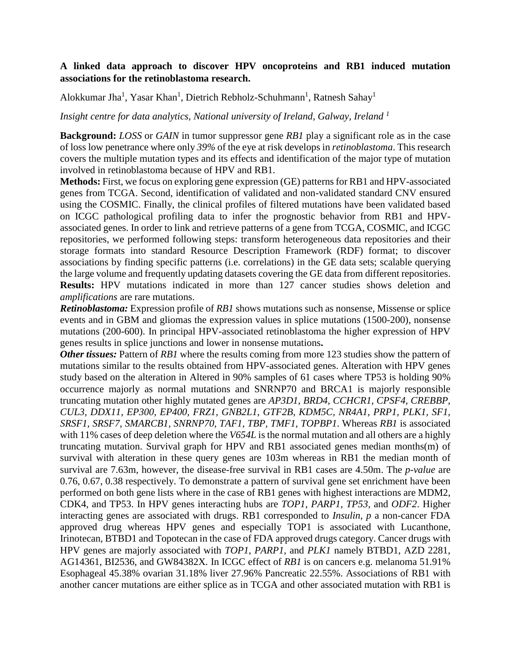## **A linked data approach to discover HPV oncoproteins and RB1 induced mutation associations for the retinoblastoma research.**

Alokkumar Jha<sup>1</sup>, Yasar Khan<sup>1</sup>, Dietrich Rebholz-Schuhmann<sup>1</sup>, Ratnesh Sahay<sup>1</sup>

*Insight centre for data analytics, National university of Ireland, Galway, Ireland <sup>1</sup>*

**Background:** *LOSS* or *GAIN* in tumor suppressor gene *RB1* play a significant role as in the case of loss low penetrance where only *39%* of the eye at risk develops in *retinoblastoma*. This research covers the multiple mutation types and its effects and identification of the major type of mutation involved in retinoblastoma because of HPV and RB1.

**Methods:** First, we focus on exploring gene expression (GE) patterns for RB1 and HPV-associated genes from TCGA. Second, identification of validated and non-validated standard CNV ensured using the COSMIC. Finally, the clinical profiles of filtered mutations have been validated based on ICGC pathological profiling data to infer the prognostic behavior from RB1 and HPVassociated genes. In order to link and retrieve patterns of a gene from TCGA, COSMIC, and ICGC repositories, we performed following steps: transform heterogeneous data repositories and their storage formats into standard Resource Description Framework (RDF) format; to discover associations by finding specific patterns (i.e. correlations) in the GE data sets; scalable querying the large volume and frequently updating datasets covering the GE data from different repositories. **Results:** HPV mutations indicated in more than 127 cancer studies shows deletion and *amplifications* are rare mutations.

*Retinoblastoma:* Expression profile of *RB1* shows mutations such as nonsense, Missense or splice events and in GBM and gliomas the expression values in splice mutations (1500-200), nonsense mutations (200-600). In principal HPV-associated retinoblastoma the higher expression of HPV genes results in splice junctions and lower in nonsense mutations**.**

*Other tissues:* Pattern of *RB1* where the results coming from more 123 studies show the pattern of mutations similar to the results obtained from HPV-associated genes. Alteration with HPV genes study based on the alteration in Altered in 90% samples of 61 cases where TP53 is holding 90% occurrence majorly as normal mutations and SNRNP70 and BRCA1 is majorly responsible truncating mutation other highly mutated genes are *AP3D1, BRD4, CCHCR1, CPSF4, CREBBP, CUL3, DDX11, EP300, EP400, FRZ1, GNB2L1, GTF2B, KDM5C, NR4A1, PRP1, PLK1, SF1, SRSF1, SRSF7, SMARCB1, SNRNP70, TAF1, TBP, TMF1, TOPBP1*. Whereas *RB1* is associated with 11% cases of deep deletion where the *V654L* is the normal mutation and all others are a highly truncating mutation. Survival graph for HPV and RB1 associated genes median months(m) of survival with alteration in these query genes are 103m whereas in RB1 the median month of survival are 7.63m, however, the disease-free survival in RB1 cases are 4.50m. The *p-value* are 0.76, 0.67, 0.38 respectively. To demonstrate a pattern of survival gene set enrichment have been performed on both gene lists where in the case of RB1 genes with highest interactions are MDM2, CDK4, and TP53. In HPV genes interacting hubs are *TOP1, PARP1, TP53,* and *ODF2*. Higher interacting genes are associated with drugs. RB1 corresponded to *Insulin, p* a non-cancer FDA approved drug whereas HPV genes and especially TOP1 is associated with Lucanthone, Irinotecan, BTBD1 and Topotecan in the case of FDA approved drugs category. Cancer drugs with HPV genes are majorly associated with *TOP1*, *PARP1,* and *PLK1* namely BTBD1, AZD 2281, AG14361, BI2536, and GW84382X*.* In ICGC effect of *RB1* is on cancers e.g. melanoma 51.91% Esophageal 45.38% ovarian 31.18% liver 27.96% Pancreatic 22.55%. Associations of RB1 with another cancer mutations are either splice as in TCGA and other associated mutation with RB1 is